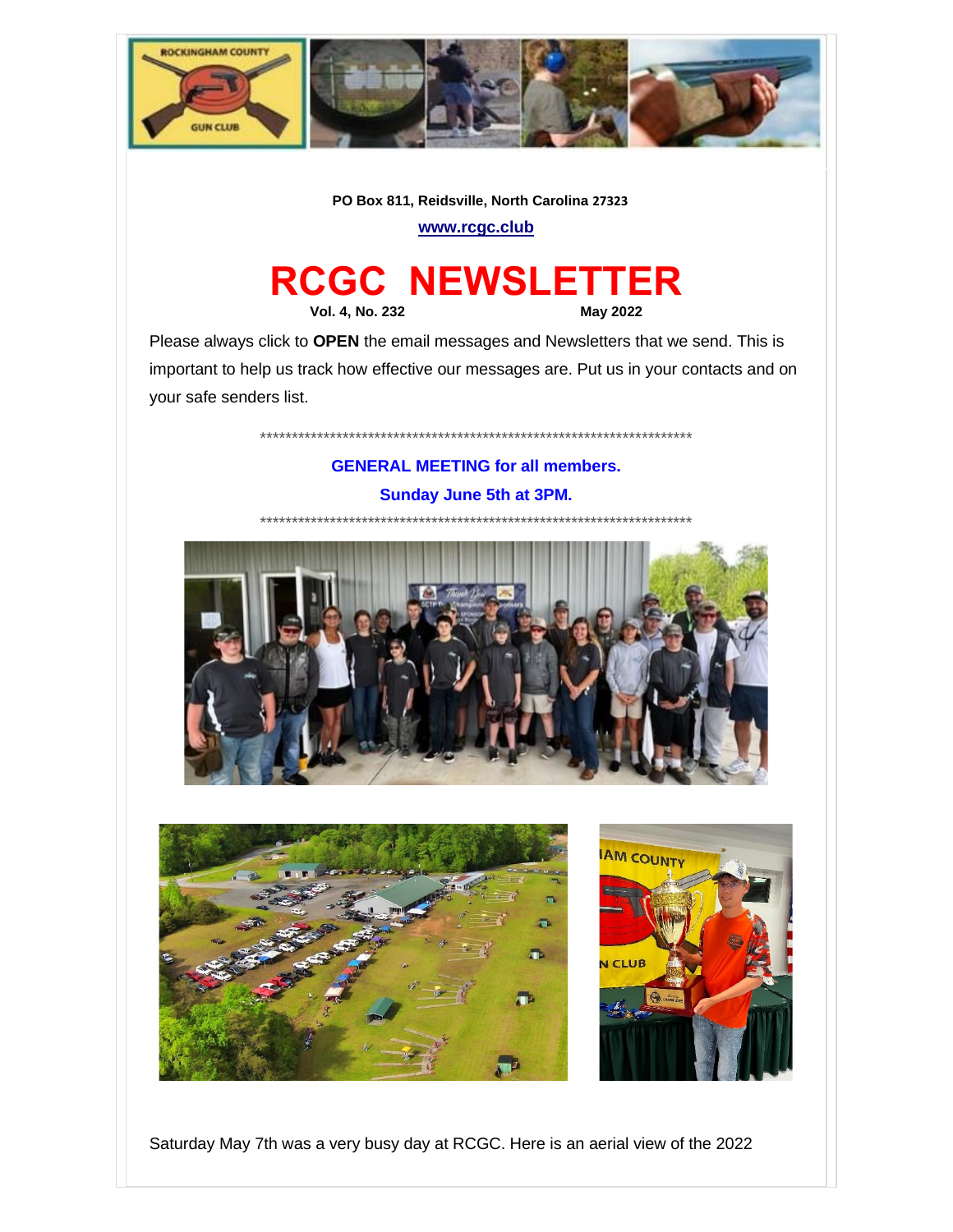

#### PO Box 811, Reidsville, North Carolina 27323

www.rcgc.club

# **RCGC NEWSLETTER**

**Vol. 4, No. 232** 

**May 2022** 

Please always click to OPEN the email messages and Newsletters that we send. This is important to help us track how effective our messages are. Put us in your contacts and on your safe senders list.

## **GENERAL MEETING for all members. Sunday June 5th at 3PM.**







Saturday May 7th was a very busy day at RCGC. Here is an aerial view of the 2022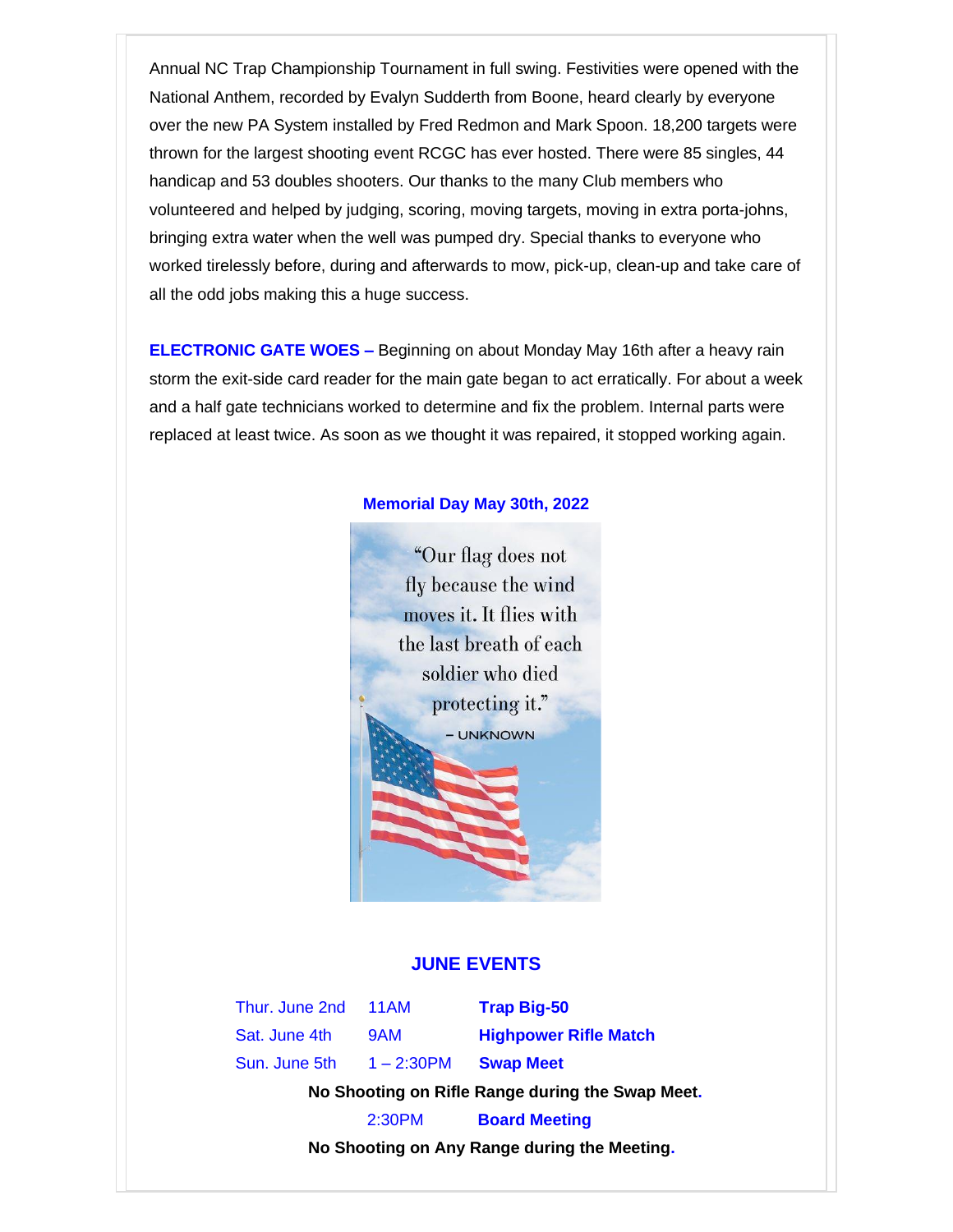Annual NC Trap Championship Tournament in full swing. Festivities were opened with the National Anthem, recorded by Evalyn Sudderth from Boone, heard clearly by everyone over the new PA System installed by Fred Redmon and Mark Spoon. 18,200 targets were thrown for the largest shooting event RCGC has ever hosted. There were 85 singles, 44 handicap and 53 doubles shooters. Our thanks to the many Club members who volunteered and helped by judging, scoring, moving targets, moving in extra porta-johns, bringing extra water when the well was pumped dry. Special thanks to everyone who worked tirelessly before, during and afterwards to mow, pick-up, clean-up and take care of all the odd jobs making this a huge success.

**ELECTRONIC GATE WOES –** Beginning on about Monday May 16th after a heavy rain storm the exit-side card reader for the main gate began to act erratically. For about a week and a half gate technicians worked to determine and fix the problem. Internal parts were replaced at least twice. As soon as we thought it was repaired, it stopped working again.



#### **Memorial Day May 30th, 2022**

#### **JUNE EVENTS**

Thur. June 2nd 11AM **Trap Big-50**

Sun. June 5th 1 – 2:30PM **Swap Meet**

Sat. June 4th 9AM **Highpower Rifle Match**

 **No Shooting on Rifle Range during the Swap Meet.**

2:30PM **Board Meeting**

 **No Shooting on Any Range during the Meeting.**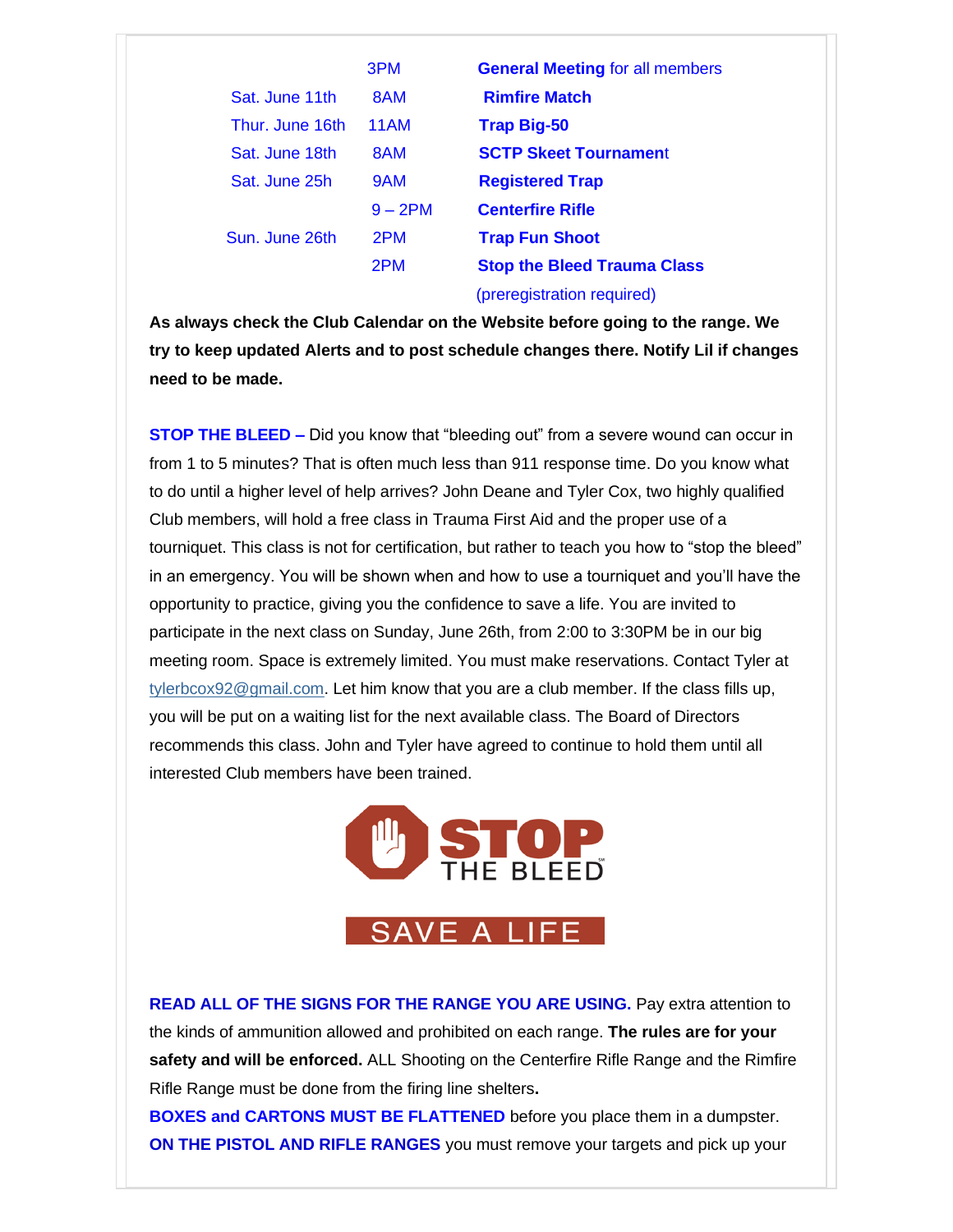|                 | 3PM        | <b>General Meeting for all members</b> |
|-----------------|------------|----------------------------------------|
| Sat. June 11th  | 8AM        | <b>Rimfire Match</b>                   |
| Thur. June 16th | 11AM       | <b>Trap Big-50</b>                     |
| Sat. June 18th  | 8AM        | <b>SCTP Skeet Tournament</b>           |
| Sat. June 25h   | 9AM        | <b>Registered Trap</b>                 |
|                 | $9 - 2$ PM | <b>Centerfire Rifle</b>                |
| Sun. June 26th  | 2PM        | <b>Trap Fun Shoot</b>                  |
|                 | 2PM        | <b>Stop the Bleed Trauma Class</b>     |
|                 |            | (preregistration required)             |

**As always check the Club Calendar on the Website before going to the range. We try to keep updated Alerts and to post schedule changes there. Notify Lil if changes need to be made.**

**STOP THE BLEED –** Did you know that "bleeding out" from a severe wound can occur in from 1 to 5 minutes? That is often much less than 911 response time. Do you know what to do until a higher level of help arrives? John Deane and Tyler Cox, two highly qualified Club members, will hold a free class in Trauma First Aid and the proper use of a tourniquet. This class is not for certification, but rather to teach you how to "stop the bleed" in an emergency. You will be shown when and how to use a tourniquet and you'll have the opportunity to practice, giving you the confidence to save a life. You are invited to participate in the next class on Sunday, June 26th, from 2:00 to 3:30PM be in our big meeting room. Space is extremely limited. You must make reservations. Contact Tyler at  $ty$  lerbcox92@gmail.com. Let him know that you are a club member. If the class fills up, you will be put on a waiting list for the next available class. The Board of Directors recommends this class. John and Tyler have agreed to continue to hold them until all interested Club members have been trained.



**READ ALL OF THE SIGNS FOR THE RANGE YOU ARE USING.** Pay extra attention to the kinds of ammunition allowed and prohibited on each range. **The rules are for your safety and will be enforced.** ALL Shooting on the Centerfire Rifle Range and the Rimfire Rifle Range must be done from the firing line shelters**.**

**BOXES and CARTONS MUST BE FLATTENED** before you place them in a dumpster. **ON THE PISTOL AND RIFLE RANGES** you must remove your targets and pick up your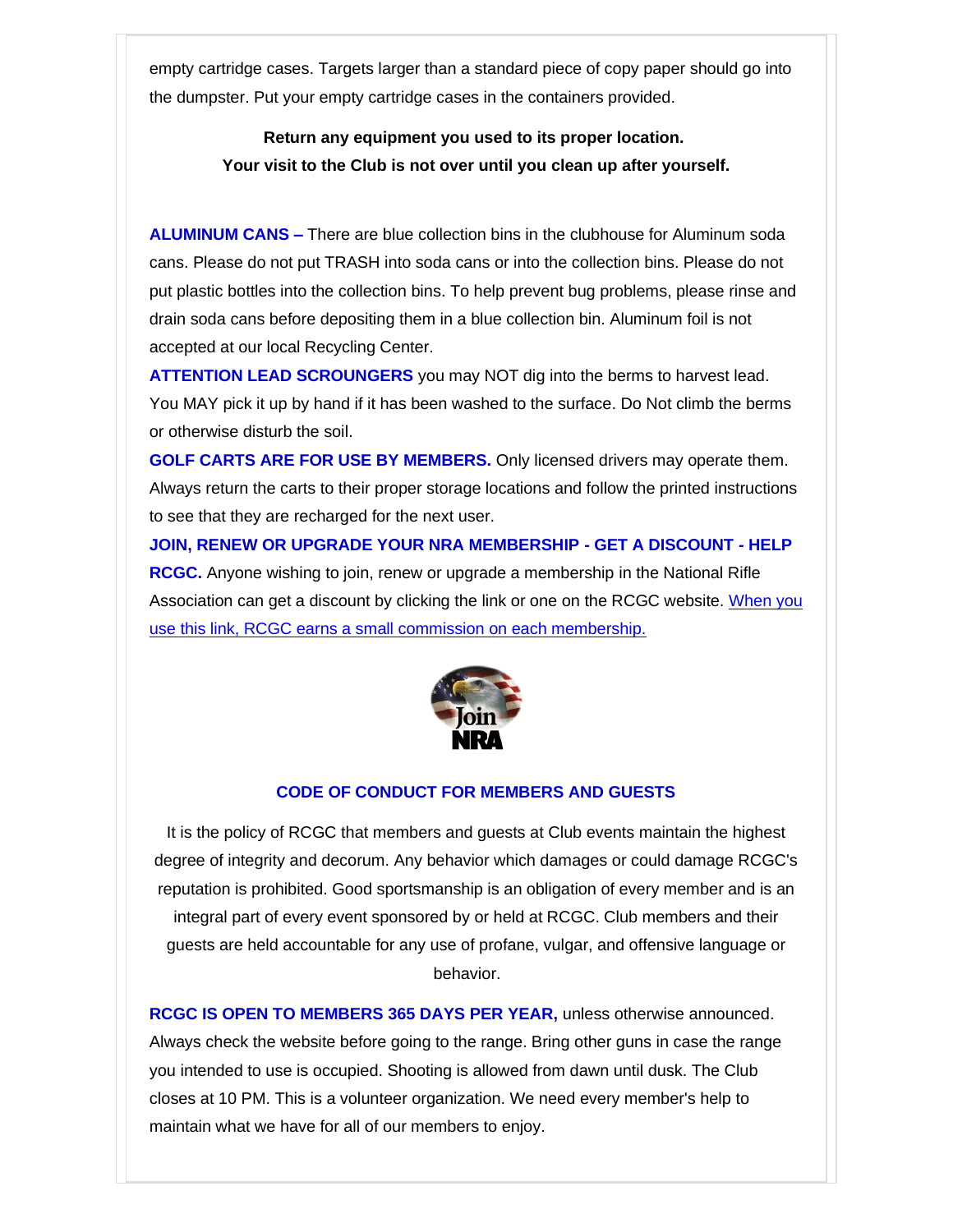empty cartridge cases. Targets larger than a standard piece of copy paper should go into the dumpster. Put your empty cartridge cases in the containers provided.

> **Return any equipment you used to its proper location. Your visit to the Club is not over until you clean up after yourself.**

**ALUMINUM CANS –** There are blue collection bins in the clubhouse for Aluminum soda cans. Please do not put TRASH into soda cans or into the collection bins. Please do not put plastic bottles into the collection bins. To help prevent bug problems, please rinse and drain soda cans before depositing them in a blue collection bin. Aluminum foil is not accepted at our local Recycling Center.

**ATTENTION LEAD SCROUNGERS** you may NOT dig into the berms to harvest lead. You MAY pick it up by hand if it has been washed to the surface. Do Not climb the berms or otherwise disturb the soil.

**GOLF CARTS ARE FOR USE BY MEMBERS.** Only licensed drivers may operate them. Always return the carts to their proper storage locations and follow the printed instructions to see that they are recharged for the next user.

**JOIN, RENEW OR UPGRADE YOUR NRA MEMBERSHIP - GET A DISCOUNT - HELP RCGC.** Anyone wishing to join, renew or upgrade a membership in the National Rifle Association can get a discount by clicking the link or one on the RCGC website. [When you](https://rockinghamcountygunclub.us2.list-manage.com/track/click?u=69ff4abdb6f3425e5b2f8e213&id=7ae4b5462c&e=72a51567ba)  [use this link, RCGC earns a small commission on each membership.](https://rockinghamcountygunclub.us2.list-manage.com/track/click?u=69ff4abdb6f3425e5b2f8e213&id=7ae4b5462c&e=72a51567ba) 



#### **CODE OF CONDUCT FOR MEMBERS AND GUESTS**

It is the policy of RCGC that members and guests at Club events maintain the highest degree of integrity and decorum. Any behavior which damages or could damage RCGC's reputation is prohibited. Good sportsmanship is an obligation of every member and is an integral part of every event sponsored by or held at RCGC. Club members and their guests are held accountable for any use of profane, vulgar, and offensive language or behavior.

**RCGC IS OPEN TO MEMBERS 365 DAYS PER YEAR,** unless otherwise announced. Always check the website before going to the range. Bring other guns in case the range you intended to use is occupied. Shooting is allowed from dawn until dusk. The Club closes at 10 PM. This is a volunteer organization. We need every member's help to maintain what we have for all of our members to enjoy.